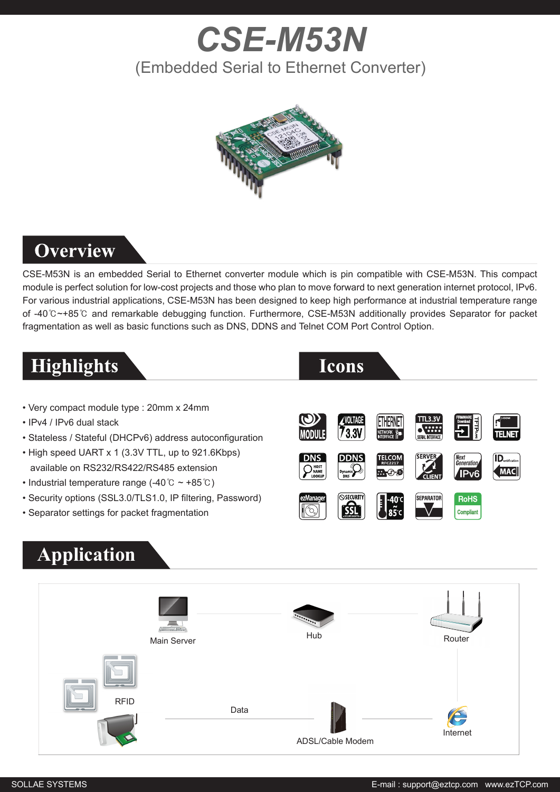# *CSE-M53N* (Embedded Serial to Ethernet Converter)



#### **Overview**

CSE-M53N is an embedded Serial to Ethernet converter module which is pin compatible with CSE-M53N. This compact module is perfect solution for low-cost projects and those who plan to move forward to next generation internet protocol, IPv6. For various industrial applications, CSE-M53N has been designed to keep high performance at industrial temperature range of -40℃~+85℃ and remarkable debugging function. Furthermore, CSE-M53N additionally provides Separator for packet fragmentation as well as basic functions such as DNS, DDNS and Telnet COM Port Control Option.

### **Highlights**



- Very compact module type : 20mm x 24mm
- IPv4 / IPv6 dual stack
- Stateless / Stateful (DHCPv6) address autoconfiguration
- High speed UART x 1 (3.3V TTL, up to 921.6Kbps) available on RS232/RS422/RS485 extension
- Industrial temperature range (-40℃ ~ +85℃)
- Security options (SSL3.0/TLS1.0, IP filtering, Password)
- Separator settings for packet fragmentation

### **Application**



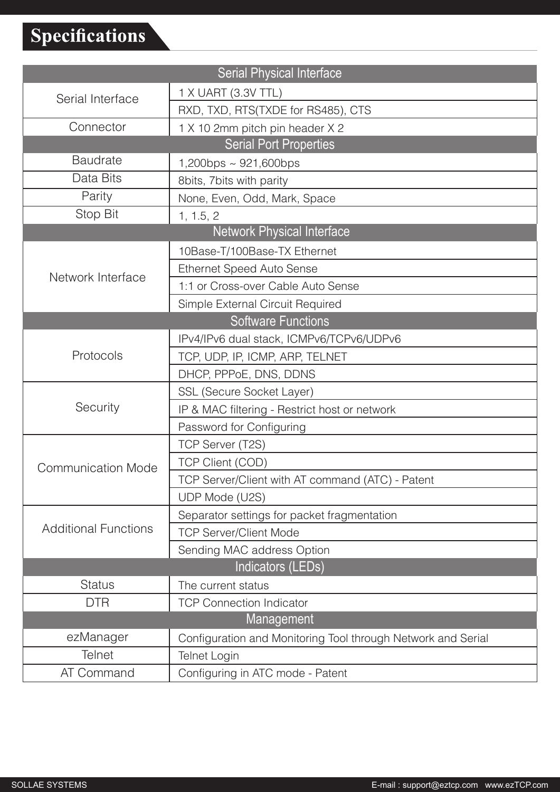## **Specifications**

| <b>Serial Physical Interface</b>  |                                                              |  |
|-----------------------------------|--------------------------------------------------------------|--|
| Serial Interface                  | 1 X UART (3.3V TTL)                                          |  |
|                                   | RXD, TXD, RTS(TXDE for RS485), CTS                           |  |
| Connector                         | 1 X 10 2mm pitch pin header X 2                              |  |
| <b>Serial Port Properties</b>     |                                                              |  |
| <b>Baudrate</b>                   | $1,200$ bps ~ 921,600bps                                     |  |
| Data Bits                         | 8bits, 7bits with parity                                     |  |
| Parity                            | None, Even, Odd, Mark, Space                                 |  |
| Stop Bit                          | 1, 1.5, 2                                                    |  |
| <b>Network Physical Interface</b> |                                                              |  |
| Network Interface                 | 10Base-T/100Base-TX Ethernet                                 |  |
|                                   | <b>Ethernet Speed Auto Sense</b>                             |  |
|                                   | 1:1 or Cross-over Cable Auto Sense                           |  |
|                                   | Simple External Circuit Required                             |  |
| <b>Software Functions</b>         |                                                              |  |
| Protocols                         | IPv4/IPv6 dual stack, ICMPv6/TCPv6/UDPv6                     |  |
|                                   | TCP, UDP, IP, ICMP, ARP, TELNET                              |  |
|                                   | DHCP, PPPoE, DNS, DDNS                                       |  |
| Security                          | SSL (Secure Socket Layer)                                    |  |
|                                   | IP & MAC filtering - Restrict host or network                |  |
|                                   | Password for Configuring                                     |  |
| <b>Communication Mode</b>         | TCP Server (T2S)                                             |  |
|                                   | <b>TCP Client (COD)</b>                                      |  |
|                                   | TCP Server/Client with AT command (ATC) - Patent             |  |
|                                   | UDP Mode (U2S)                                               |  |
| <b>Additional Functions</b>       | Separator settings for packet fragmentation                  |  |
|                                   | <b>TCP Server/Client Mode</b>                                |  |
|                                   | Sending MAC address Option                                   |  |
| Indicators (LEDs)                 |                                                              |  |
| <b>Status</b>                     | The current status                                           |  |
| <b>DTR</b>                        | <b>TCP Connection Indicator</b>                              |  |
| Management                        |                                                              |  |
| ezManager                         | Configuration and Monitoring Tool through Network and Serial |  |
| <b>Telnet</b>                     | Telnet Login                                                 |  |
| AT Command                        | Configuring in ATC mode - Patent                             |  |